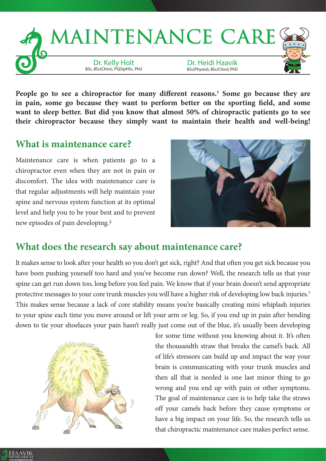

People go to see a chiropractor for many different reasons.<sup>1</sup> Some go because they are **in pain, some go because they want to perform better on the sporting field, and some want to sleep better. But did you know that almost 50% of chiropractic patients go to see their chiropractor because they simply want to maintain their health and well-being!**

## **What is maintenance care?**

Maintenance care is when patients go to a chiropractor even when they are not in pain or discomfort. The idea with maintenance care is that regular adjustments will help maintain your spine and nervous system function at its optimal level and help you to be your best and to prevent new episodes of pain developing.2



## **What does the research say about maintenance care?**

It makes sense to look after your health so you don't get sick, right? And that often you get sick because you have been pushing yourself too hard and you've become run down? Well, the research tells us that your spine can get run down too, long before you feel pain. We know that if your brain doesn't send appropriate protective messages to your core trunk muscles you will have a higher risk of developing low back injuries.<sup>3</sup> This makes sense because a lack of core stability means you're basically creating mini whiplash injuries to your spine each time you move around or lift your arm or leg. So, if you end up in pain after bending down to tie your shoelaces your pain hasn't really just come out of the blue, it's usually been developing



for some time without you knowing about it. It's often the thousandth straw that breaks the camel's back. All of life's stressors can build up and impact the way your brain is communicating with your trunk muscles and then all that is needed is one last minor thing to go wrong and you end up with pain or other symptoms. The goal of maintenance care is to help take the straws off your camels back before they cause symptoms or have a big impact on your life. So, the research tells us that chiropractic maintenance care makes perfect sense.

HAAVIK RESEARCH www.therealitycheck.com